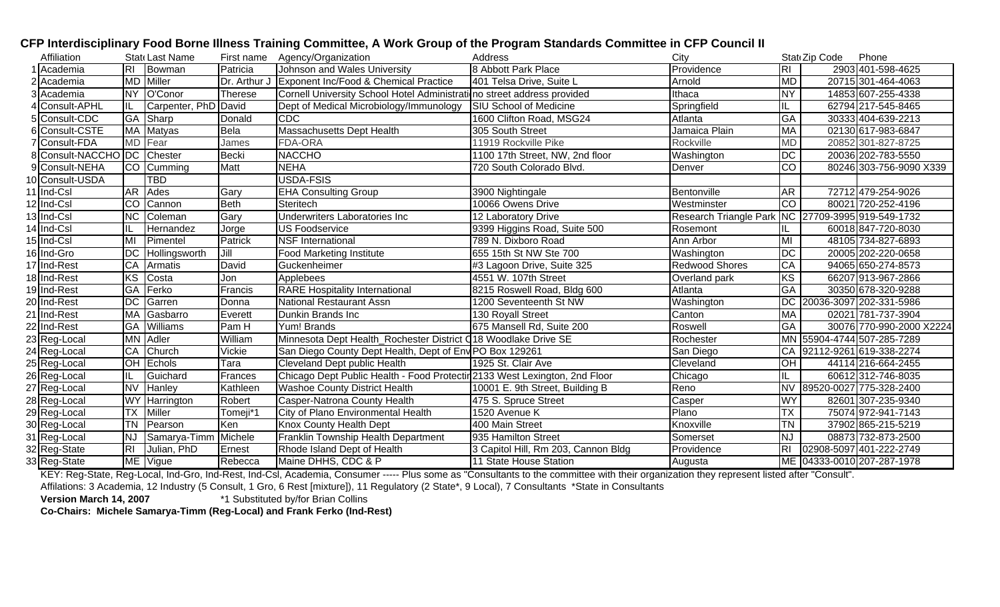| Affiliation               |                        | Stat Last Name       |              | First name Agency/Organization                                             | Address                             | City                                              |                 | Stat Zip Code | Phone                      |
|---------------------------|------------------------|----------------------|--------------|----------------------------------------------------------------------------|-------------------------------------|---------------------------------------------------|-----------------|---------------|----------------------------|
| Academia                  | RL                     | Bowman               | Patricia     | Johnson and Wales University                                               | 8 Abbott Park Place                 | Providence                                        | <b>RI</b>       |               | 2903 401-598-4625          |
| Academia                  |                        | MD Miller            | Dr. Arthur J | Exponent Inc/Food & Chemical Practice                                      | 401 Telsa Drive, Suite L            | Arnold                                            | <b>MD</b>       |               | 20715 301-464-4063         |
| Academia                  |                        | NY O'Conor           | Therese      | Cornell University School Hotel Administration street address provided     |                                     | Ithaca                                            | <b>NY</b>       |               | 14853 607-255-4338         |
| Consult-APHL              | IL.                    | Carpenter, PhD David |              | Dept of Medical Microbiology/Immunology                                    | <b>SIU School of Medicine</b>       | Springfield                                       |                 |               | 62794 217-545-8465         |
| Consult-CDC               |                        | GA Sharp             | Donald       | <b>CDC</b>                                                                 | 1600 Clifton Road, MSG24            | Atlanta                                           | $\overline{GA}$ |               | 30333 404-639-2213         |
| Consult-CSTE              |                        | MA Matyas            | Bela         | Massachusetts Dept Health                                                  | 305 South Street                    | Jamaica Plain                                     | MA              |               | 02130 617-983-6847         |
| Consult-FDA               |                        | MD Fear              | James        | FDA-ORA                                                                    | 11919 Rockville Pike                | Rockville                                         | <b>MD</b>       |               | 20852 301-827-8725         |
| Consult-NACCHO DC Chester |                        |                      | <b>Becki</b> | <b>NACCHO</b>                                                              | 1100 17th Street, NW, 2nd floor     | Washington                                        | DC              |               | 20036 202-783-5550         |
| Consult-NEHA              |                        | <b>CO</b> Cumming    | Matt         | <b>NEHA</b>                                                                | 720 South Colorado Blvd.            | Denver                                            | <b>CO</b>       |               | 80246 303-756-9090 X339    |
| 10 Consult-USDA           |                        | <b>TBD</b>           |              | USDA-FSIS                                                                  |                                     |                                                   |                 |               |                            |
| 11 Ind-Csl                |                        | AR Ades              | Gary         | <b>EHA Consulting Group</b>                                                | 3900 Nightingale                    | Bentonville                                       | AR              |               | 72712 479-254-9026         |
| 12 Ind-Csl                | $\overline{CO}$        | Cannon               | <b>Beth</b>  | Steritech                                                                  | 10066 Owens Drive                   | Westminster                                       | <b>CO</b>       |               | 80021 720-252-4196         |
| 13 Ind-Csl                | $\overline{\text{NC}}$ | Coleman              | Gary         | Underwriters Laboratories Inc                                              | 12 Laboratory Drive                 | Research Triangle Park NC 27709-3995 919-549-1732 |                 |               |                            |
| 14 Ind-Csl                |                        | Hernandez            | Jorge        | US Foodservice                                                             | 9399 Higgins Road, Suite 500        | Rosemont                                          |                 |               | 60018847-720-8030          |
| 15 Ind-Csl                | MI                     | Pimentel             | Patrick      | <b>NSF</b> International                                                   | 789 N. Dixboro Road                 | Ann Arbor                                         | MI              |               | 48105 734-827-6893         |
| 16 Ind-Gro                | <b>DC</b>              | Hollingsworth        | Jill         | <b>Food Marketing Institute</b>                                            | 655 15th St NW Ste 700              | Washington                                        | $\overline{DC}$ |               | 20005 202-220-0658         |
| 17 Ind-Rest               | CA                     | Armatis              | David        | Guckenheimer                                                               | #3 Lagoon Drive, Suite 325          | Redwood Shores                                    | <b>CA</b>       |               | 94065 650-274-8573         |
| 18 Ind-Rest               | $\overline{\text{KS}}$ | Costa                | Jon          | Applebees                                                                  | 4551 W. 107th Street                | Overland park                                     | KS              |               | 66207 913-967-2866         |
| 19 Ind-Rest               | <b>GA</b>              | Ferko                | Francis      | <b>RARE Hospitality International</b>                                      | 8215 Roswell Road, Bldg 600         | Atlanta                                           | GA              |               | 30350 678-320-9288         |
| 20 Ind-Rest               |                        | DC Garren            | Donna        | <b>National Restaurant Assn</b>                                            | 1200 Seventeenth St NW              | Washington                                        |                 |               | DC 20036-3097 202-331-5986 |
| 21 Ind-Rest               | <b>MA</b>              | Gasbarro             | Everett      | Dunkin Brands Inc                                                          | 130 Royall Street                   | Canton                                            | <b>MA</b>       |               | 02021 781-737-3904         |
| 22 Ind-Rest               | <b>GA</b>              | Williams             | Pam H        | Yum! Brands                                                                | 675 Mansell Rd, Suite 200           | Roswell                                           | GA              |               | 30076 770-990-2000 X2224   |
| 23 Reg-Local              |                        | MN Adler             | William      | Minnesota Dept Health_Rochester District C18 Woodlake Drive SE             |                                     | Rochester                                         |                 |               | MN 55904-4744 507-285-7289 |
| 24 Reg-Local              | CA                     | Church               | Vickie       | San Diego County Dept Health, Dept of Env PO Box 129261                    |                                     | San Diego                                         | CA              |               | 92112-9261 619-338-2274    |
| 25 Reg-Local              | Ю                      | Echols               | Tara         | Cleveland Dept public Health                                               | 1925 St. Clair Ave                  | Cleveland                                         | <b>OH</b>       |               | 44114 216-664-2455         |
| 26 Reg-Local              | IL.                    | Guichard             | Frances      | Chicago Dept Public Health - Food Protectir 2133 West Lexington, 2nd Floor |                                     | Chicago                                           |                 |               | 60612312-746-8035          |
| 27 Reg-Local              | <b>NV</b>              | Hanley               | Kathleen     | <b>Washoe County District Health</b>                                       | 10001 E. 9th Street, Building B     | Reno                                              |                 |               | NV 89520-0027 775-328-2400 |
| 28 Reg-Local              |                        | <b>WY</b> Harrington | Robert       | Casper-Natrona County Health                                               | 475 S. Spruce Street                | Casper                                            | <b>WY</b>       |               | 82601 307-235-9340         |
| 29 Reg-Local              | <b>TX</b>              | Miller               | Tomeji*1     | City of Plano Environmental Health                                         | 1520 Avenue K                       | Plano                                             | <b>TX</b>       |               | 75074 972-941-7143         |
| 30 Reg-Local              | <b>TN</b>              | Pearson              | Ken          | Knox County Health Dept                                                    | 400 Main Street                     | Knoxville                                         | <b>TN</b>       |               | 37902 865-215-5219         |
| 31 Reg-Local              | <b>NJ</b>              | Samarya-Timm         | Michele      | Franklin Township Health Department                                        | 935 Hamilton Street                 | Somerset                                          | NJ              |               | 08873 732-873-2500         |
| 32 Reg-State              | R <sub>l</sub>         | Julian, PhD          | Ernest       | Rhode Island Dept of Health                                                | 3 Capitol Hill, Rm 203, Cannon Bldg | Providence                                        | $\overline{R}$  |               | 02908-5097 401-222-2749    |
| 33 Reg-State              |                        | ME Vigue             | Rebecca      | Maine DHHS, CDC & P                                                        | 11 State House Station              | Augusta                                           |                 |               | ME 04333-0010 207-287-1978 |

## **CFP Interdisciplinary Food Borne Illness Training Committee, A Work Group of the Program Standards Committee in CFP Council II**

KEY: Reg-State, Reg-Local, Ind-Gro, Ind-Rest, Ind-Csl, Academia, Consumer ----- Plus some as "Consultants to the committee with their organization they represent listed after "Consult".

Affilations: 3 Academia, 12 Industry (5 Consult, 1 Gro, 6 Rest [mixture]), 11 Regulatory (2 State\*, 9 Local), 7 Consultants \*State in Consultants \*State in Consultants \* State in Consultants \* 1 Substituted by/for Brian Co

\*1 Substituted by/for Brian Collins

**Co-Chairs: Michele Samarya-Timm (Reg-Local) and Frank Ferko (Ind-Rest)**